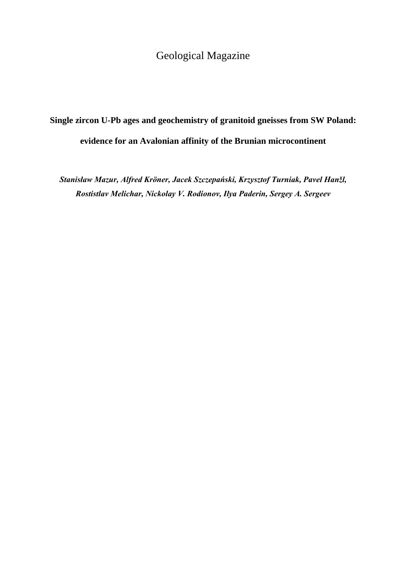## Geological Magazine

## **Single zircon U-Pb ages and geochemistry of granitoid gneisses from SW Poland: evidence for an Avalonian affinity of the Brunian microcontinent**

*Stanisław Mazur, Alfred Kröner, Jacek Szczepański, Krzysztof Turniak, Pavel Hanžl, Rostistlav Melichar, Nickolay V. Rodionov, Ilya Paderin, Sergey A. Sergeev*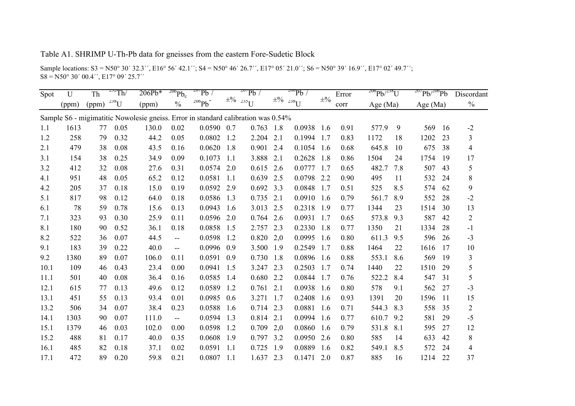## Table A1. SHRIMP U-Th-Pb data for gneisses from the eastern Fore-Sudetic Block

Sample locations: S3 = N50° 30´ 32.3'', E16° 56′ 42.1''; S4 = N50° 46′ 26.7'', E17° 05′ 21.0''; S6 = N50° 39′ 16.9'', E17° 02′ 49.7'';  $SS = N50^{\circ} 30' 00.4'$ , E17° 09′ 25.7′′

| Spot | U     | Th    | $^{232}$ Th/ | $206Pb*$                                                                          | $206$ $Pb_c$             | $20^7$ Pb    |      | $20^7$ Pb $\overline{\smash{6}}$ |     | $200$ Pb $\overline{\smash{6}}$   |                  | Error | $^{206}Pb/^{238}U$ |     | $20^7$ Pb/ $206$ Pb |    | Discordant     |
|------|-------|-------|--------------|-----------------------------------------------------------------------------------|--------------------------|--------------|------|----------------------------------|-----|-----------------------------------|------------------|-------|--------------------|-----|---------------------|----|----------------|
|      | (ppm) | (ppm) | $^{238}$ U   | (ppm)                                                                             | $\frac{0}{0}$            | $^{206}Pb^*$ |      | $\pm\frac{9}{6}$ 235 U           |     | $\pm\frac{9}{6}$ 238 <sub>U</sub> | $\pm\frac{0}{0}$ | corr  | Age $(Ma)$         |     | Age $(Ma)$          |    | $\frac{0}{0}$  |
|      |       |       |              | Sample S6 - migimatitic Nowolesie gneiss. Error in standard calibration was 0.54% |                          |              |      |                                  |     |                                   |                  |       |                    |     |                     |    |                |
| 1.1  | 1613  | 77    | 0.05         | 130.0                                                                             | 0.02                     | 0.0590       | 0.7  | 0.763                            | 1.8 | 0.0938                            | 1.6              | 0.91  | 577.9              | 9   | 569                 | 16 | $-2$           |
| 1.2  | 258   | 79    | 0.32         | 44.2                                                                              | 0.05                     | 0.0802       | 1.2  | 2.204                            | 2.1 | 0.1994                            | 1.7              | 0.83  | 1172               | 18  | 1202                | 23 | 3              |
| 2.1  | 479   | 38    | 0.08         | 43.5                                                                              | 0.16                     | 0.0620       | 1.8  | 0.901                            | 2.4 | 0.1054                            | 1.6              | 0.68  | 645.8              | 10  | 675                 | 38 | $\overline{4}$ |
| 3.1  | 154   | 38    | 0.25         | 34.9                                                                              | 0.09                     | 0.1073       | -1.1 | 3.888                            | 2.1 | 0.2628                            | 1.8              | 0.86  | 1504               | 24  | 1754                | 19 | 17             |
| 3.2  | 412   | 32    | 0.08         | 27.6                                                                              | 0.31                     | 0.0574       | 2.0  | 0.615                            | 2.6 | 0.0777                            | 1.7              | 0.65  | 482.7              | 7.8 | 507                 | 43 | 5              |
| 4.1  | 951   | 48    | 0.05         | 65.2                                                                              | 0.12                     | 0.0581       | 1.1  | 0.639                            | 2.5 | 0.0798                            | 2.2              | 0.90  | 495                | 11  | 532                 | 24 | 8              |
| 4.2  | 205   | 37    | 0.18         | 15.0                                                                              | 0.19                     | 0.0592       | 2.9  | 0.692                            | 3.3 | 0.0848                            | 1.7              | 0.51  | 525                | 8.5 | 574                 | 62 | 9              |
| 5.1  | 817   | 98    | 0.12         | 64.0                                                                              | 0.18                     | 0.0586       | 1.3  | 0.735                            | 2.1 | 0.0910                            | 1.6              | 0.79  | 561.7              | 8.9 | 552                 | 28 | $-2$           |
| 6.1  | 78    | 59    | 0.78         | 15.6                                                                              | 0.13                     | 0.0943       | 1.6  | 3.013                            | 2.5 | 0.2318                            | 1.9              | 0.77  | 1344               | 23  | 1514                | 30 | 13             |
| 7.1  | 323   | 93    | 0.30         | 25.9                                                                              | 0.11                     | 0.0596       | 2.0  | 0.764                            | 2.6 | 0.0931                            | 1.7              | 0.65  | 573.8              | 9.3 | 587                 | 42 | $\overline{c}$ |
| 8.1  | 180   | 90    | 0.52         | 36.1                                                                              | 0.18                     | 0.0858       | 1.5  | 2.757                            | 2.3 | 0.2330                            | 1.8              | 0.77  | 1350               | 21  | 1334                | 28 | $-1$           |
| 8.2  | 522   | 36    | 0.07         | 44.5                                                                              | $\overline{\phantom{a}}$ | 0.0598       | 1.2  | 0.820                            | 2,0 | 0.0995                            | 1.6              | 0.80  | 611.3              | 9.5 | 596                 | 26 | $-3$           |
| 9.1  | 183   | 39    | 0.22         | 40.0                                                                              | $-$                      | 0.0996       | 0.9  | 3.500                            | 1.9 | 0.2549                            | 1.7              | 0.88  | 1464               | 22  | 1616                | 17 | 10             |
| 9.2  | 1380  | 89    | 0.07         | 106.0                                                                             | 0.11                     | 0.0591       | 0.9  | 0.730                            | 1.8 | 0.0896                            | 1.6              | 0.88  | 553.1              | 8.6 | 569                 | 19 | 3              |
| 10.1 | 109   | 46    | 0.43         | 23.4                                                                              | 0.00                     | 0.0941       | 1.5  | 3.247                            | 2.3 | 0.2503                            | 1.7              | 0.74  | 1440               | 22  | 1510                | 29 | 5              |
| 11.1 | 501   | 40    | 0.08         | 36.4                                                                              | 0.16                     | 0.0585       | 1.4  | 0.680                            | 2.2 | 0.0844                            | 1.7              | 0.76  | 522.2              | 8.4 | 547                 | 31 | 5              |
| 12.1 | 615   | 77    | 0.13         | 49.6                                                                              | 0.12                     | 0.0589       | 1.2  | 0.761                            | 2.1 | 0.0938                            | 1.6              | 0.80  | 578                | 9.1 | 562                 | 27 | $-3$           |
| 13.1 | 451   | 55    | 0.13         | 93.4                                                                              | 0.01                     | 0.0985       | 0.6  | 3.271                            | 1.7 | 0.2408                            | 1.6              | 0.93  | 1391               | 20  | 1596                | 11 | 15             |
| 13.2 | 506   | 34    | 0.07         | 38.4                                                                              | 0.23                     | 0.0588       | 1.6  | 0.714                            | 2.3 | 0.0881                            | 1.6              | 0.71  | 544.3              | 8.3 | 558                 | 35 | $\overline{2}$ |
| 14.1 | 1303  | 90    | 0.07         | 111.0                                                                             | $\overline{\phantom{a}}$ | 0.0594       | 1.3  | 0.814                            | 2.1 | 0.0994                            | 1.6              | 0.77  | 610.7              | 9.2 | 581                 | 29 | $-5$           |
| 15.1 | 1379  | 46    | 0.03         | 102.0                                                                             | 0.00                     | 0.0598       | 1.2  | 0.709                            | 2,0 | 0.0860                            | 1.6              | 0.79  | 531.8              | 8.1 | 595                 | 27 | 12             |
| 15.2 | 488   | 81    | 0.17         | 40.0                                                                              | 0.35                     | 0.0608       | 1.9  | 0.797                            | 3.2 | 0.0950                            | 2.6              | 0.80  | 585                | 14  | 633                 | 42 | $8\,$          |
| 16.1 | 485   | 82    | 0.18         | 37.1                                                                              | 0.02                     | 0.0591       | -1.1 | 0.725                            | 1.9 | 0.0889                            | 1.6              | 0.82  | 549.1              | 8.5 | 572                 | 24 | 4              |
| 17.1 | 472   | 89    | 0.20         | 59.8                                                                              | 0.21                     | 0.0807       | 1.1  | 1.637                            | 2.3 | 0.1471                            | 2.0              | 0.87  | 885                | 16  | 1214                | 22 | 37             |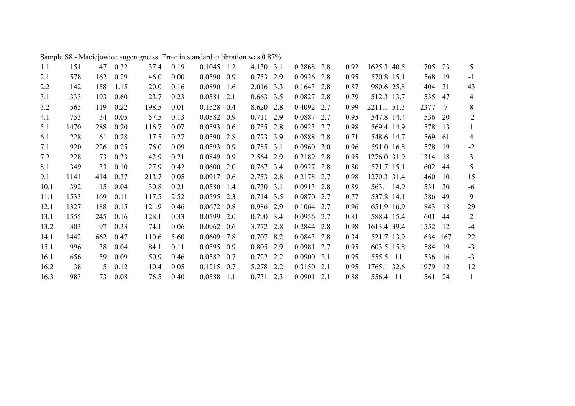| 1.1  | 151  | 47  | 0.32 | 37.4  | 0.19 | $0.1045$ 1.2 |      | 4.130 3.1   |     | 0.2868 2.8 |     | 0.92 | 1625.3 40.5 | 1705 | 23  | 5              |
|------|------|-----|------|-------|------|--------------|------|-------------|-----|------------|-----|------|-------------|------|-----|----------------|
| 2.1  | 578  | 162 | 0.29 | 46.0  | 0.00 | 0.0590       | 0.9  | 0.753       | 2.9 | 0.0926     | 2.8 | 0.95 | 570.8 15.1  | 568  | 19  | $-1$           |
| 2.2  | 142  | 158 | 1.15 | 20.0  | 0.16 | 0.0890       | 1.6  | 2.016 3.3   |     | 0.1643     | 2.8 | 0.87 | 980.6 25.8  | 1404 | 31  | 43             |
| 3.1  | 333  | 193 | 0.60 | 23.7  | 0.23 | 0.0581       | 2.1  | $0.663$ 3.5 |     | 0.0827     | 2.8 | 0.79 | 512.3 13.7  | 535  | 47  | 4              |
| 3.2  | 565  | 119 | 0.22 | 198.5 | 0.01 | 0.1528       | 0.4  | 8.620 2.8   |     | 0.4092     | 2.7 | 0.99 | 2211.1 51.3 | 2377 | 7   | 8              |
| 4.1  | 753  | 34  | 0.05 | 57.5  | 0.13 | 0.0582       | 0.9  | 0.711       | 2.9 | 0.0887     | 2.7 | 0.95 | 547.8 14.4  | 536  | 20  | $-2$           |
| 5.1  | 1470 | 288 | 0.20 | 116.7 | 0.07 | 0.0593       | 0.6  | 0.755       | 2.8 | 0.0923     | 2.7 | 0.98 | 569.4 14.9  | 578  | 13  | 1              |
| 6.1  | 228  | 61  | 0.28 | 17.5  | 0.27 | 0.0590 2.8   |      | 0.723       | 3.9 | 0.0888     | 2.8 | 0.71 | 548.6 14.7  | 569  | 61  | 4              |
| 7.1  | 920  | 226 | 0.25 | 76.0  | 0.09 | 0.0593       | 0.9  | 0.785       | 3.1 | 0.0960     | 3.0 | 0.96 | 591.0 16.8  | 578  | 19  | $-2$           |
| 7.2  | 228  | 73  | 0.33 | 42.9  | 0.21 | 0.0849       | 0.9  | 2.564 2.9   |     | 0.2189     | 2.8 | 0.95 | 1276.0 31.9 | 1314 | 18  | 3              |
| 8.1  | 349  | 33  | 0.10 | 27.9  | 0.42 | 0.0600       | 2.0  | $0.767$ 3.4 |     | 0.0927     | 2.8 | 0.80 | 571.7 15.1  | 602  | 44  | 5              |
| 9.1  | 1141 | 414 | 0.37 | 213.7 | 0.05 | 0.0917       | 0.6  | 2.753       | 2.8 | 0.2178     | 2.7 | 0.98 | 1270.3 31.4 | 1460 | 10  | 15             |
| 10.1 | 392  | 15  | 0.04 | 30.8  | 0.21 | 0.0580       | 1.4  | $0.730$ 3.1 |     | 0.0913     | 2.8 | 0.89 | 563.1 14.9  | 531  | 30  | $-6$           |
| 11.1 | 1533 | 169 | 0.11 | 117.5 | 2.52 | 0.0595       | 2.3  | 0.714 3.5   |     | 0.0870 2.7 |     | 0.77 | 537.8 14.1  | 586  | 49  | 9              |
| 12.1 | 1327 | 188 | 0.15 | 121.9 | 0.46 | 0.0672       | 0.8  | 0.986 2.9   |     | 0.1064     | 2.7 | 0.96 | 651.9 16.9  | 843  | 18  | 29             |
| 13.1 | 1555 | 245 | 0.16 | 128.1 | 0.33 | 0.0599       | 2.0  | 0.790 3.4   |     | 0.0956     | 2.7 | 0.81 | 588.4 15.4  | 601  | 44  | $\overline{2}$ |
| 13.2 | 303  | 97  | 0.33 | 74.1  | 0.06 | 0.0962       | 0.6  | 3.772       | 2.8 | 0.2844     | 2.8 | 0.98 | 1613.4 39.4 | 1552 | 12  | $-4$           |
| 14.1 | 1442 | 662 | 0.47 | 110.6 | 5.60 | 0.0609       | 7.8  | $0.707$ 8.2 |     | 0.0843     | 2.8 | 0.34 | 521.7 13.9  | 634  | 167 | 22             |
| 15.1 | 996  | 38  | 0.04 | 84.1  | 0.11 | 0.0595       | 0.9  | 0.805       | 2.9 | 0.0981     | 2.7 | 0.95 | 603.5 15.8  | 584  | 19  | $-3$           |
| 16.1 | 656  | 59  | 0.09 | 50.9  | 0.46 | 0.0582       | 0.7  | 0.722       | 2.2 | 0.0900     | 2.1 | 0.95 | 555.5 11    | 536  | 16  | $-3$           |
| 16.2 | 38   | 5   | 0.12 | 10.4  | 0.05 | $0.1215$ 0.7 |      | 5.278 2.2   |     | 0.3150     | 2.1 | 0.95 | 1765.1 32.6 | 1979 | 12  | 12             |
| 16.3 | 983  | 73  | 0.08 | 76.5  | 0.40 | 0.0588       | -1.1 | $0.731$ 2.3 |     | 0.0901     | 2.1 | 0.88 | 556.4 11    | 561  | 24  | 1              |

Sample S8 - Maciejowice augen gneiss. Error in standard calibration was 0.87%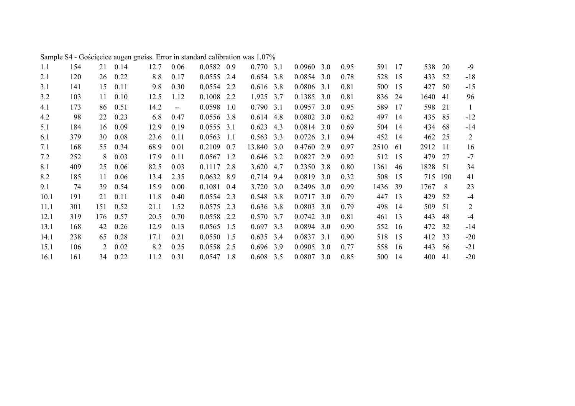| 1.1  | 154 | 21  | 0.14 | 12.7 | 0.06                     | $0.0582$ 0.9 |     | $0.770$ 3.1 |     | $0.0960$ 3.0 |     | 0.95 | 591  | 17  | 538  | 20  | $-9$  |
|------|-----|-----|------|------|--------------------------|--------------|-----|-------------|-----|--------------|-----|------|------|-----|------|-----|-------|
| 2.1  | 120 | 26  | 0.22 | 8.8  | 0.17                     | $0.0555$ 2.4 |     | $0.654$ 3.8 |     | $0.0854$ 3.0 |     | 0.78 | 528  | 15  | 433  | 52  | $-18$ |
| 3.1  | 141 | 15  | 0.11 | 9.8  | 0.30                     | 0.0554 2.2   |     | $0.616$ 3.8 |     | 0.0806       | 3.1 | 0.81 | 500  | 15  | 427  | 50  | $-15$ |
| 3.2  | 103 | 11  | 0.10 | 12.5 | 1.12                     | 0.1008       | 2.2 | 1.925 3.7   |     | 0.1385       | 3.0 | 0.81 | 836  | 24  | 1640 | 41  | 96    |
| 4.1  | 173 | 86  | 0.51 | 14.2 | $\overline{\phantom{a}}$ | 0.0598       | 1.0 | $0.790$ 3.1 |     | 0.0957       | 3.0 | 0.95 | 589  | 17  | 598  | 21  | 1     |
| 4.2  | 98  | 22  | 0.23 | 6.8  | 0.47                     | 0.0556 3.8   |     | 0.614       | 4.8 | 0.0802       | 3.0 | 0.62 | 497  | 14  | 435  | 85  | $-12$ |
| 5.1  | 184 | 16  | 0.09 | 12.9 | 0.19                     | $0.0555$ 3.1 |     | 0.623       | 4.3 | $0.0814$ 3.0 |     | 0.69 | 504  | 14  | 434  | 68  | $-14$ |
| 6.1  | 379 | 30  | 0.08 | 23.6 | 0.11                     | 0.0563       | 1.1 | $0.563$ 3.3 |     | $0.0726$ 3.1 |     | 0.94 | 452  | 14  | 462  | 25  | 2     |
| 7.1  | 168 | 55  | 0.34 | 68.9 | 0.01                     | $0.2109$ 0.7 |     | 13.840 3.0  |     | 0.4760 2.9   |     | 0.97 | 2510 | -61 | 2912 | -11 | 16    |
| 7.2  | 252 | 8   | 0.03 | 17.9 | 0.11                     | $0.0567$ 1.2 |     | $0.646$ 3.2 |     | 0.0827       | 2.9 | 0.92 | 512  | 15  | 479  | 27  | $-7$  |
| 8.1  | 409 | 25  | 0.06 | 82.5 | 0.03                     | $0.1117$ 2.8 |     | 3.620 4.7   |     | 0.2350 3.8   |     | 0.80 | 1361 | 46  | 1828 | -51 | 34    |
| 8.2  | 185 | 11  | 0.06 | 13.4 | 2.35                     | $0.0632$ 8.9 |     | 0.714 9.4   |     | $0.0819$ 3.0 |     | 0.32 | 508  | 15  | 715  | 190 | 41    |
| 9.1  | 74  | 39  | 0.54 | 15.9 | 0.00                     | 0.1081       | 0.4 | 3.720 3.0   |     | $0.2496$ 3.0 |     | 0.99 | 1436 | 39  | 1767 | 8   | 23    |
| 10.1 | 191 | 21  | 0.11 | 11.8 | 0.40                     | 0.0554 2.3   |     | 0.548 3.8   |     | 0.0717       | 3.0 | 0.79 | 447  | 13  | 429  | .52 | $-4$  |
| 11.1 | 301 | 151 | 0.52 | 21.1 | 1.52                     | $0.0575$ 2.3 |     | $0.636$ 3.8 |     | 0.0803       | 3.0 | 0.79 | 498  | 14  | 509  | 51  | 2     |
| 12.1 | 319 | 176 | 0.57 | 20.5 | 0.70                     | 0.0558 2.2   |     | $0.570$ 3.7 |     | 0.0742       | 3.0 | 0.81 | 461  | 13  | 443  | 48  | $-4$  |
| 13.1 | 168 | 42  | 0.26 | 12.9 | 0.13                     | $0.0565$ 1.5 |     | $0.697$ 3.3 |     | 0.0894       | 3.0 | 0.90 | 552  | 16  | 472  | 32  | $-14$ |
| 14.1 | 238 | 65  | 0.28 | 17.1 | 0.21                     | $0.0550$ 1.5 |     | $0.635$ 3.4 |     | 0.0837       | 3.1 | 0.90 | 518  | 15  | 412  | 33  | $-20$ |
| 15.1 | 106 | 2   | 0.02 | 8.2  | 0.25                     | 0.0558 2.5   |     | $0.696$ 3.9 |     | 0.0905       | 3.0 | 0.77 | 558  | -16 | 443  | 56  | $-21$ |
| 16.1 | 161 | 34  | 0.22 | 11.2 | 0.31                     | $0.0547$ 1.8 |     | $0.608$ 3.5 |     | 0.0807       | 3.0 | 0.85 | 500  | 14  | 400  | 41  | $-20$ |

Sample S4 - Gościęcice augen gneiss. Error in standard calibration was 1.07%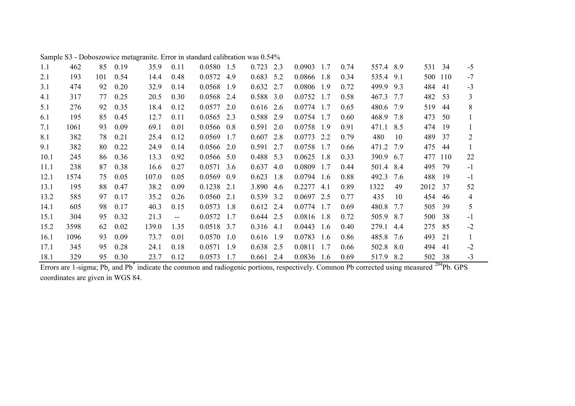| 1.1  | 462  | 85  | 0.19 | 35.9  | 0.11                     | 0.0580 1.5     | 0.723<br>2.3 | 0.0903<br>1.7 | 0.74 | 557.4 8.9    | 531<br>34  | $-5$           |
|------|------|-----|------|-------|--------------------------|----------------|--------------|---------------|------|--------------|------------|----------------|
| 2.1  | 193  | 101 | 0.54 | 14.4  | 0.48                     | 0.0572 4.9     | 0.683<br>5.2 | 0.0866<br>1.8 | 0.34 | 535.4<br>9.1 | 500<br>110 | $-7$           |
| 3.1  | 474  | 92  | 0.20 | 32.9  | 0.14                     | 0.0568 1.9     | 0.632<br>2.7 | 0.0806<br>1.9 | 0.72 | 499.9<br>9.3 | 484<br>41  | $-3$           |
| 4.1  | 317  | 77  | 0.25 | 20.5  | 0.30                     | 0.0568 2.4     | 0.588 3.0    | 0.0752<br>1.7 | 0.58 | 467.3<br>7.7 | 482<br>53  | 3              |
| 5.1  | 276  | 92  | 0.35 | 18.4  | 0.12                     | $0.0577$ 2.0   | 0.616<br>2.6 | 0.0774<br>1.7 | 0.65 | 480.6<br>7.9 | 519<br>44  | 8              |
| 6.1  | 195  | 85  | 0.45 | 12.7  | 0.11                     | $0.0565$ 2.3   | 0.588<br>2.9 | 0.0754<br>1.7 | 0.60 | 468.9<br>7.8 | 473<br>50  |                |
| 7.1  | 1061 | 93  | 0.09 | 69.1  | 0.01                     | $0.0566$ 0.8   | 0.591<br>2.0 | 0.0758<br>1.9 | 0.91 | 471.1<br>8.5 | 474<br>19  |                |
| 8.1  | 382  | 78  | 0.21 | 25.4  | 0.12                     | 0.0569<br>1.7  | 0.607<br>2.8 | 0.0773<br>2.2 | 0.79 | 480<br>10    | 489<br>37  | $\overline{2}$ |
| 9.1  | 382  | 80  | 0.22 | 24.9  | 0.14                     | $0.0566$ 2.0   | 0.591<br>2.7 | 0.0758<br>1.7 | 0.66 | 471.2 7.9    | 475<br>44  |                |
| 10.1 | 245  | 86  | 0.36 | 13.3  | 0.92                     | $0.0566$ 5.0   | 0.488 5.3    | 0.0625<br>1.8 | 0.33 | 390.9<br>6.7 | 477<br>110 | 22             |
| 11.1 | 238  | 87  | 0.38 | 16.6  | 0.27                     | $0.0571$ 3.6   | $0.637$ 4.0  | 0.0809<br>1.7 | 0.44 | 501.4<br>8.4 | 495<br>79  | $-1$           |
| 12.1 | 1574 | 75  | 0.05 | 107.0 | 0.05                     | 0.0569<br>0.9  | 0.623<br>1.8 | 0.0794<br>1.6 | 0.88 | 492.3<br>7.6 | 488<br>19  | $-1$           |
| 13.1 | 195  | 88  | 0.47 | 38.2  | 0.09                     | 0.1238<br>2.1  | 3.890<br>4.6 | 0.2277<br>4.1 | 0.89 | 1322<br>49   | 2012<br>37 | 52             |
| 13.2 | 585  | 97  | 0.17 | 35.2  | 0.26                     | 0.0560<br>2.1  | 0.539 3.2    | 0.0697<br>2.5 | 0.77 | 435<br>10    | 454<br>46  | 4              |
| 14.1 | 605  | 98  | 0.17 | 40.3  | 0.15                     | 0.0573<br>1.8  | 0.612<br>2.4 | 0.0774<br>1.7 | 0.69 | 480.8<br>7.7 | 39<br>505  | 5              |
| 15.1 | 304  | 95  | 0.32 | 21.3  | $\overline{\phantom{m}}$ | 0.0572<br>1.7  | $0.644$ 2.5  | 0.0816<br>1.8 | 0.72 | 505.9<br>8.7 | 500<br>38  | $-1$           |
| 15.2 | 3598 | 62  | 0.02 | 139.0 | 1.35                     | 0.0518 3.7     | $0.316$ 4.1  | 0.0443<br>1.6 | 0.40 | 279.1<br>4.4 | 275<br>85  | $-2$           |
| 16.1 | 1096 | 93  | 0.09 | 73.7  | 0.01                     | $0.0570$ 1.0   | $0.616$ 1.9  | 0.0783<br>1.6 | 0.86 | 485.8<br>7.6 | 493<br>21  |                |
| 17.1 | 345  | 95  | 0.28 | 24.1  | 0.18                     | 0.0571<br>-1.9 | 0.638 2.5    | 0.0811<br>1.7 | 0.66 | 502.8<br>8.0 | 41<br>494  | $-2$           |
| 18.1 | 329  | 95  | 0.30 | 23.7  | 0.12                     | 0.0573<br>1.7  | $0.661$ 2.4  | 0.0836<br>1.6 | 0.69 | 517.9<br>8.2 | 38<br>502  | $-3$           |

Sample S3 - Doboszowice metagranite. Error in standard calibration was 0.54%

Errors are 1-sigma; Pb<sub>c</sub> and Pb<sup>\*</sup> indicate the common and radiogenic portions, respectively. Common Pb corrected using measured <sup>204</sup>Pb. GPS coordinates are given in WGS 84.